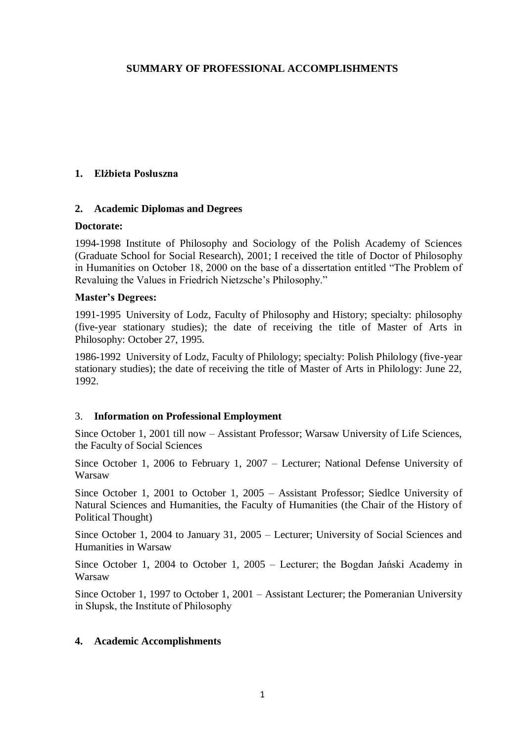# **SUMMARY OF PROFESSIONAL ACCOMPLISHMENTS**

## **1. Elżbieta Posłuszna**

## **2. Academic Diplomas and Degrees**

### **Doctorate:**

1994-1998 Institute of Philosophy and Sociology of the Polish Academy of Sciences (Graduate School for Social Research), 2001; I received the title of Doctor of Philosophy in Humanities on October 18, 2000 on the base of a dissertation entitled "The Problem of Revaluing the Values in Friedrich Nietzsche's Philosophy."

## **Master's Degrees:**

1991-1995 University of Lodz, Faculty of Philosophy and History; specialty: philosophy (five-year stationary studies); the date of receiving the title of Master of Arts in Philosophy: October 27, 1995.

1986-1992 University of Lodz, Faculty of Philology; specialty: Polish Philology (five-year stationary studies); the date of receiving the title of Master of Arts in Philology: June 22, 1992.

## 3. **Information on Professional Employment**

Since October 1, 2001 till now – Assistant Professor; Warsaw University of Life Sciences, the Faculty of Social Sciences

Since October 1, 2006 to February 1, 2007 – Lecturer; National Defense University of Warsaw

Since October 1, 2001 to October 1, 2005 – Assistant Professor; Siedlce University of Natural Sciences and Humanities, the Faculty of Humanities (the Chair of the History of Political Thought)

Since October 1, 2004 to January 31, 2005 – Lecturer; University of Social Sciences and Humanities in Warsaw

Since October 1, 2004 to October 1, 2005 – Lecturer; the Bogdan Jański Academy in Warsaw

Since October 1, 1997 to October 1, 2001 – Assistant Lecturer; the Pomeranian University in Słupsk, the Institute of Philosophy

## **4. Academic Accomplishments**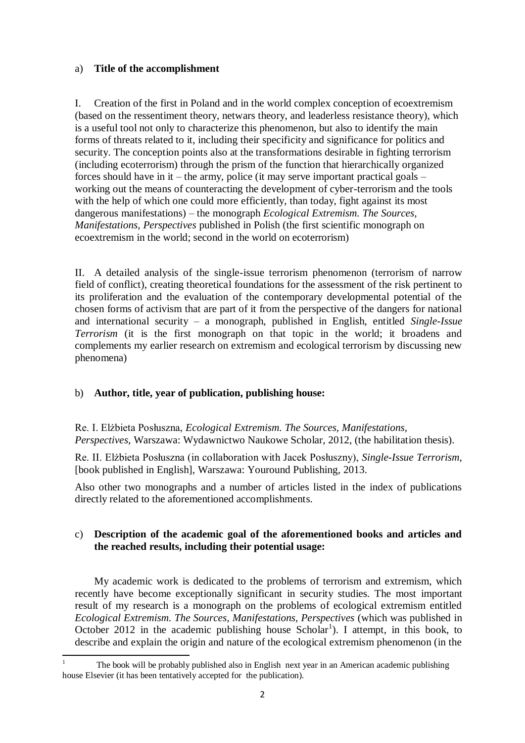# a) **Title of the accomplishment**

I. Creation of the first in Poland and in the world complex conception of ecoextremism (based on the ressentiment theory, netwars theory, and leaderless resistance theory), which is a useful tool not only to characterize this phenomenon, but also to identify the main forms of threats related to it, including their specificity and significance for politics and security. The conception points also at the transformations desirable in fighting terrorism (including ecoterrorism) through the prism of the function that hierarchically organized forces should have in it – the army, police (it may serve important practical goals – working out the means of counteracting the development of cyber-terrorism and the tools with the help of which one could more efficiently, than today, fight against its most dangerous manifestations) – the monograph *Ecological Extremism. The Sources, Manifestations, Perspectives* published in Polish (the first scientific monograph on ecoextremism in the world; second in the world on ecoterrorism)

II. A detailed analysis of the single-issue terrorism phenomenon (terrorism of narrow field of conflict), creating theoretical foundations for the assessment of the risk pertinent to its proliferation and the evaluation of the contemporary developmental potential of the chosen forms of activism that are part of it from the perspective of the dangers for national and international security – a monograph, published in English, entitled *Single-Issue Terrorism* (it is the first monograph on that topic in the world; it broadens and complements my earlier research on extremism and ecological terrorism by discussing new phenomena)

# b) **Author, title, year of publication, publishing house:**

Re. I. Elżbieta Posłuszna, *Ecological Extremism. The Sources, Manifestations, Perspectives*, Warszawa: Wydawnictwo Naukowe Scholar, 2012, (the habilitation thesis).

Re. II. Elżbieta Posłuszna (in collaboration with Jacek Posłuszny), *Single-Issue Terrorism*, [book published in English], Warszawa: Youround Publishing, 2013.

Also other two monographs and a number of articles listed in the index of publications directly related to the aforementioned accomplishments.

# c) **Description of the academic goal of the aforementioned books and articles and the reached results, including their potential usage:**

My academic work is dedicated to the problems of terrorism and extremism, which recently have become exceptionally significant in security studies. The most important result of my research is a monograph on the problems of ecological extremism entitled *Ecological Extremism. The Sources, Manifestations, Perspectives* (which was published in October 2012 in the academic publishing house  $Scholar<sup>1</sup>$ ). I attempt, in this book, to describe and explain the origin and nature of the ecological extremism phenomenon (in the

<sup>1</sup> <sup>1</sup> The book will be probably published also in English next year in an American academic publishing house Elsevier (it has been tentatively accepted for the publication).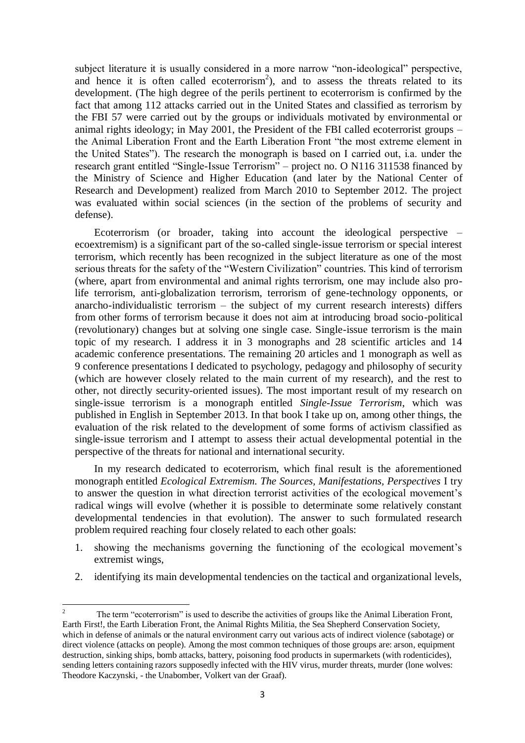subject literature it is usually considered in a more narrow "non-ideological" perspective, and hence it is often called ecoterrorism<sup>2</sup>), and to assess the threats related to its development. (The high degree of the perils pertinent to ecoterrorism is confirmed by the fact that among 112 attacks carried out in the United States and classified as terrorism by the FBI 57 were carried out by the groups or individuals motivated by environmental or animal rights ideology; in May 2001, the President of the FBI called ecoterrorist groups – the Animal Liberation Front and the Earth Liberation Front "the most extreme element in the United States"). The research the monograph is based on I carried out, i.a. under the research grant entitled "Single-Issue Terrorism" – project no. O N116 311538 financed by the Ministry of Science and Higher Education (and later by the National Center of Research and Development) realized from March 2010 to September 2012. The project was evaluated within social sciences (in the section of the problems of security and defense).

Ecoterrorism (or broader, taking into account the ideological perspective – ecoextremism) is a significant part of the so-called single-issue terrorism or special interest terrorism, which recently has been recognized in the subject literature as one of the most serious threats for the safety of the "Western Civilization" countries. This kind of terrorism (where, apart from environmental and animal rights terrorism, one may include also prolife terrorism, anti-globalization terrorism, terrorism of gene-technology opponents, or anarcho-individualistic terrorism – the subject of my current research interests) differs from other forms of terrorism because it does not aim at introducing broad socio-political (revolutionary) changes but at solving one single case. Single-issue terrorism is the main topic of my research. I address it in 3 monographs and 28 scientific articles and 14 academic conference presentations. The remaining 20 articles and 1 monograph as well as 9 conference presentations I dedicated to psychology, pedagogy and philosophy of security (which are however closely related to the main current of my research), and the rest to other, not directly security-oriented issues). The most important result of my research on single-issue terrorism is a monograph entitled *Single-Issue Terrorism*, which was published in English in September 2013. In that book I take up on, among other things, the evaluation of the risk related to the development of some forms of activism classified as single-issue terrorism and I attempt to assess their actual developmental potential in the perspective of the threats for national and international security.

In my research dedicated to ecoterrorism, which final result is the aforementioned monograph entitled *Ecological Extremism. The Sources, Manifestations, Perspectives* I try to answer the question in what direction terrorist activities of the ecological movement's radical wings will evolve (whether it is possible to determinate some relatively constant developmental tendencies in that evolution). The answer to such formulated research problem required reaching four closely related to each other goals:

- 1. showing the mechanisms governing the functioning of the ecological movement's extremist wings,
- 2. identifying its main developmental tendencies on the tactical and organizational levels,

 $\overline{2}$ <sup>2</sup> The term "ecoterrorism" is used to describe the activities of groups like the Animal Liberation Front, Earth First!, the Earth Liberation Front, the Animal Rights Militia, the Sea Shepherd Conservation Society, which in defense of animals or the natural environment carry out various acts of indirect violence (sabotage) or direct violence (attacks on people). Among the most common techniques of those groups are: arson, equipment destruction, sinking ships, bomb attacks, battery, poisoning food products in supermarkets (with rodenticides), sending letters containing razors supposedly infected with the HIV virus, murder threats, murder (lone wolves: Theodore Kaczynski, - the Unabomber, Volkert van der Graaf).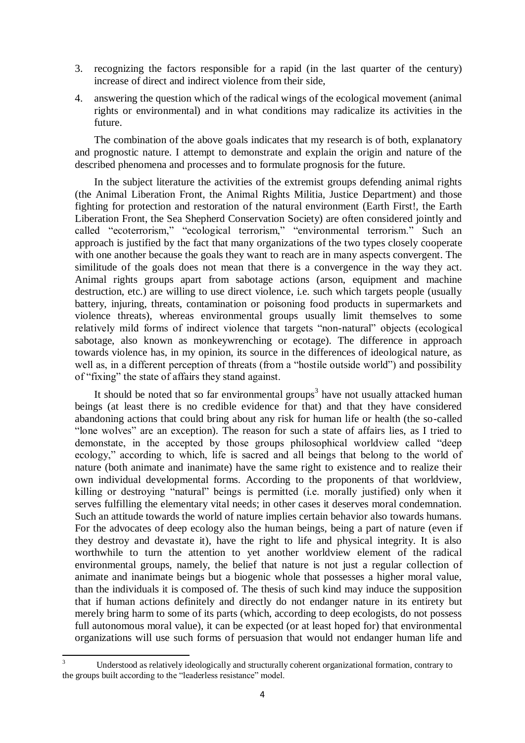- 3. recognizing the factors responsible for a rapid (in the last quarter of the century) increase of direct and indirect violence from their side,
- 4. answering the question which of the radical wings of the ecological movement (animal rights or environmental) and in what conditions may radicalize its activities in the future.

The combination of the above goals indicates that my research is of both, explanatory and prognostic nature. I attempt to demonstrate and explain the origin and nature of the described phenomena and processes and to formulate prognosis for the future.

In the subject literature the activities of the extremist groups defending animal rights (the Animal Liberation Front, the Animal Rights Militia, Justice Department) and those fighting for protection and restoration of the natural environment (Earth First!, the Earth Liberation Front, the Sea Shepherd Conservation Society) are often considered jointly and called "ecoterrorism," "ecological terrorism," "environmental terrorism." Such an approach is justified by the fact that many organizations of the two types closely cooperate with one another because the goals they want to reach are in many aspects convergent. The similitude of the goals does not mean that there is a convergence in the way they act. Animal rights groups apart from sabotage actions (arson, equipment and machine destruction, etc.) are willing to use direct violence, i.e. such which targets people (usually battery, injuring, threats, contamination or poisoning food products in supermarkets and violence threats), whereas environmental groups usually limit themselves to some relatively mild forms of indirect violence that targets "non-natural" objects (ecological sabotage, also known as monkeywrenching or ecotage). The difference in approach towards violence has, in my opinion, its source in the differences of ideological nature, as well as, in a different perception of threats (from a "hostile outside world") and possibility of "fixing" the state of affairs they stand against.

It should be noted that so far environmental groups<sup>3</sup> have not usually attacked human beings (at least there is no credible evidence for that) and that they have considered abandoning actions that could bring about any risk for human life or health (the so-called "lone wolves" are an exception). The reason for such a state of affairs lies, as I tried to demonstate, in the accepted by those groups philosophical worldview called "deep ecology," according to which, life is sacred and all beings that belong to the world of nature (both animate and inanimate) have the same right to existence and to realize their own individual developmental forms. According to the proponents of that worldview, killing or destroying "natural" beings is permitted (i.e. morally justified) only when it serves fulfilling the elementary vital needs; in other cases it deserves moral condemnation. Such an attitude towards the world of nature implies certain behavior also towards humans. For the advocates of deep ecology also the human beings, being a part of nature (even if they destroy and devastate it), have the right to life and physical integrity. It is also worthwhile to turn the attention to yet another worldview element of the radical environmental groups, namely, the belief that nature is not just a regular collection of animate and inanimate beings but a biogenic whole that possesses a higher moral value, than the individuals it is composed of. The thesis of such kind may induce the supposition that if human actions definitely and directly do not endanger nature in its entirety but merely bring harm to some of its parts (which, according to deep ecologists, do not possess full autonomous moral value), it can be expected (or at least hoped for) that environmental organizations will use such forms of persuasion that would not endanger human life and

1

Understood as relatively ideologically and structurally coherent organizational formation, contrary to the groups built according to the "leaderless resistance" model.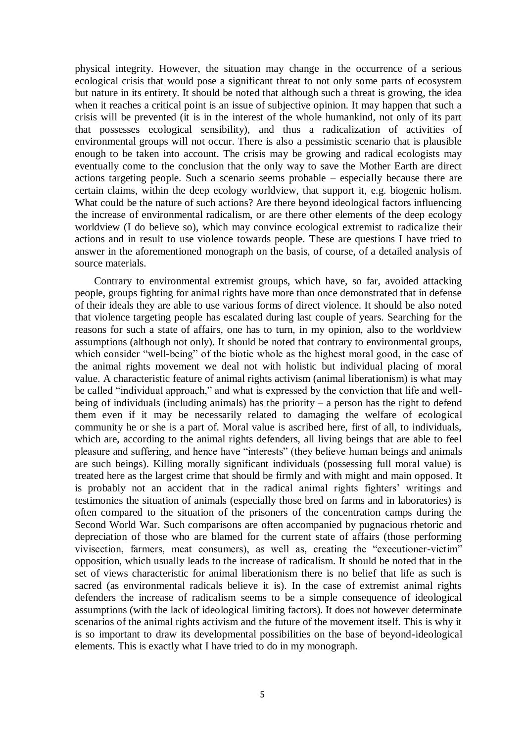physical integrity. However, the situation may change in the occurrence of a serious ecological crisis that would pose a significant threat to not only some parts of ecosystem but nature in its entirety. It should be noted that although such a threat is growing, the idea when it reaches a critical point is an issue of subjective opinion. It may happen that such a crisis will be prevented (it is in the interest of the whole humankind, not only of its part that possesses ecological sensibility), and thus a radicalization of activities of environmental groups will not occur. There is also a pessimistic scenario that is plausible enough to be taken into account. The crisis may be growing and radical ecologists may eventually come to the conclusion that the only way to save the Mother Earth are direct actions targeting people. Such a scenario seems probable – especially because there are certain claims, within the deep ecology worldview, that support it, e.g. biogenic holism. What could be the nature of such actions? Are there beyond ideological factors influencing the increase of environmental radicalism, or are there other elements of the deep ecology worldview (I do believe so), which may convince ecological extremist to radicalize their actions and in result to use violence towards people. These are questions I have tried to answer in the aforementioned monograph on the basis, of course, of a detailed analysis of source materials.

Contrary to environmental extremist groups, which have, so far, avoided attacking people, groups fighting for animal rights have more than once demonstrated that in defense of their ideals they are able to use various forms of direct violence. It should be also noted that violence targeting people has escalated during last couple of years. Searching for the reasons for such a state of affairs, one has to turn, in my opinion, also to the worldview assumptions (although not only). It should be noted that contrary to environmental groups, which consider "well-being" of the biotic whole as the highest moral good, in the case of the animal rights movement we deal not with holistic but individual placing of moral value. A characteristic feature of animal rights activism (animal liberationism) is what may be called "individual approach," and what is expressed by the conviction that life and wellbeing of individuals (including animals) has the priority – a person has the right to defend them even if it may be necessarily related to damaging the welfare of ecological community he or she is a part of. Moral value is ascribed here, first of all, to individuals, which are, according to the animal rights defenders, all living beings that are able to feel pleasure and suffering, and hence have "interests" (they believe human beings and animals are such beings). Killing morally significant individuals (possessing full moral value) is treated here as the largest crime that should be firmly and with might and main opposed. It is probably not an accident that in the radical animal rights fighters' writings and testimonies the situation of animals (especially those bred on farms and in laboratories) is often compared to the situation of the prisoners of the concentration camps during the Second World War. Such comparisons are often accompanied by pugnacious rhetoric and depreciation of those who are blamed for the current state of affairs (those performing vivisection, farmers, meat consumers), as well as, creating the "executioner-victim" opposition, which usually leads to the increase of radicalism. It should be noted that in the set of views characteristic for animal liberationism there is no belief that life as such is sacred (as environmental radicals believe it is). In the case of extremist animal rights defenders the increase of radicalism seems to be a simple consequence of ideological assumptions (with the lack of ideological limiting factors). It does not however determinate scenarios of the animal rights activism and the future of the movement itself. This is why it is so important to draw its developmental possibilities on the base of beyond-ideological elements. This is exactly what I have tried to do in my monograph.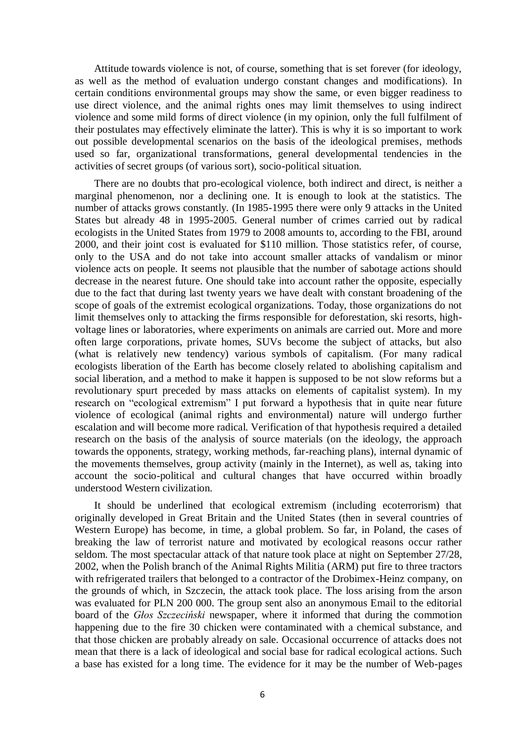Attitude towards violence is not, of course, something that is set forever (for ideology, as well as the method of evaluation undergo constant changes and modifications). In certain conditions environmental groups may show the same, or even bigger readiness to use direct violence, and the animal rights ones may limit themselves to using indirect violence and some mild forms of direct violence (in my opinion, only the full fulfilment of their postulates may effectively eliminate the latter). This is why it is so important to work out possible developmental scenarios on the basis of the ideological premises, methods used so far, organizational transformations, general developmental tendencies in the activities of secret groups (of various sort), socio-political situation.

There are no doubts that pro-ecological violence, both indirect and direct, is neither a marginal phenomenon, nor a declining one. It is enough to look at the statistics. The number of attacks grows constantly. (In 1985-1995 there were only 9 attacks in the United States but already 48 in 1995-2005. General number of crimes carried out by radical ecologists in the United States from 1979 to 2008 amounts to, according to the FBI, around 2000, and their joint cost is evaluated for \$110 million. Those statistics refer, of course, only to the USA and do not take into account smaller attacks of vandalism or minor violence acts on people. It seems not plausible that the number of sabotage actions should decrease in the nearest future. One should take into account rather the opposite, especially due to the fact that during last twenty years we have dealt with constant broadening of the scope of goals of the extremist ecological organizations. Today, those organizations do not limit themselves only to attacking the firms responsible for deforestation, ski resorts, highvoltage lines or laboratories, where experiments on animals are carried out. More and more often large corporations, private homes, SUVs become the subject of attacks, but also (what is relatively new tendency) various symbols of capitalism. (For many radical ecologists liberation of the Earth has become closely related to abolishing capitalism and social liberation, and a method to make it happen is supposed to be not slow reforms but a revolutionary spurt preceded by mass attacks on elements of capitalist system). In my research on "ecological extremism" I put forward a hypothesis that in quite near future violence of ecological (animal rights and environmental) nature will undergo further escalation and will become more radical. Verification of that hypothesis required a detailed research on the basis of the analysis of source materials (on the ideology, the approach towards the opponents, strategy, working methods, far-reaching plans), internal dynamic of the movements themselves, group activity (mainly in the Internet), as well as, taking into account the socio-political and cultural changes that have occurred within broadly understood Western civilization.

It should be underlined that ecological extremism (including ecoterrorism) that originally developed in Great Britain and the United States (then in several countries of Western Europe) has become, in time, a global problem. So far, in Poland, the cases of breaking the law of terrorist nature and motivated by ecological reasons occur rather seldom. The most spectacular attack of that nature took place at night on September 27/28, 2002, when the Polish branch of the Animal Rights Militia (ARM) put fire to three tractors with refrigerated trailers that belonged to a contractor of the Drobimex-Heinz company, on the grounds of which, in Szczecin, the attack took place. The loss arising from the arson was evaluated for PLN 200 000. The group sent also an anonymous Email to the editorial board of the *Głos Szczeciński* newspaper, where it informed that during the commotion happening due to the fire 30 chicken were contaminated with a chemical substance, and that those chicken are probably already on sale. Occasional occurrence of attacks does not mean that there is a lack of ideological and social base for radical ecological actions. Such a base has existed for a long time. The evidence for it may be the number of Web-pages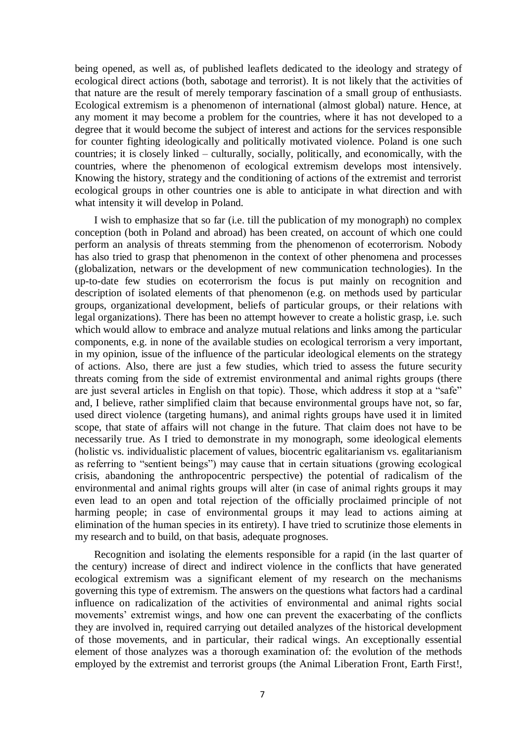being opened, as well as, of published leaflets dedicated to the ideology and strategy of ecological direct actions (both, sabotage and terrorist). It is not likely that the activities of that nature are the result of merely temporary fascination of a small group of enthusiasts. Ecological extremism is a phenomenon of international (almost global) nature. Hence, at any moment it may become a problem for the countries, where it has not developed to a degree that it would become the subject of interest and actions for the services responsible for counter fighting ideologically and politically motivated violence. Poland is one such countries; it is closely linked – culturally, socially, politically, and economically, with the countries, where the phenomenon of ecological extremism develops most intensively. Knowing the history, strategy and the conditioning of actions of the extremist and terrorist ecological groups in other countries one is able to anticipate in what direction and with what intensity it will develop in Poland.

I wish to emphasize that so far (i.e. till the publication of my monograph) no complex conception (both in Poland and abroad) has been created, on account of which one could perform an analysis of threats stemming from the phenomenon of ecoterrorism. Nobody has also tried to grasp that phenomenon in the context of other phenomena and processes (globalization, netwars or the development of new communication technologies). In the up-to-date few studies on ecoterrorism the focus is put mainly on recognition and description of isolated elements of that phenomenon (e.g. on methods used by particular groups, organizational development, beliefs of particular groups, or their relations with legal organizations). There has been no attempt however to create a holistic grasp, i.e. such which would allow to embrace and analyze mutual relations and links among the particular components, e.g. in none of the available studies on ecological terrorism a very important, in my opinion, issue of the influence of the particular ideological elements on the strategy of actions. Also, there are just a few studies, which tried to assess the future security threats coming from the side of extremist environmental and animal rights groups (there are just several articles in English on that topic). Those, which address it stop at a "safe" and, I believe, rather simplified claim that because environmental groups have not, so far, used direct violence (targeting humans), and animal rights groups have used it in limited scope, that state of affairs will not change in the future. That claim does not have to be necessarily true. As I tried to demonstrate in my monograph, some ideological elements (holistic vs. individualistic placement of values, biocentric egalitarianism vs. egalitarianism as referring to "sentient beings") may cause that in certain situations (growing ecological crisis, abandoning the anthropocentric perspective) the potential of radicalism of the environmental and animal rights groups will alter (in case of animal rights groups it may even lead to an open and total rejection of the officially proclaimed principle of not harming people; in case of environmental groups it may lead to actions aiming at elimination of the human species in its entirety). I have tried to scrutinize those elements in my research and to build, on that basis, adequate prognoses.

Recognition and isolating the elements responsible for a rapid (in the last quarter of the century) increase of direct and indirect violence in the conflicts that have generated ecological extremism was a significant element of my research on the mechanisms governing this type of extremism. The answers on the questions what factors had a cardinal influence on radicalization of the activities of environmental and animal rights social movements' extremist wings, and how one can prevent the exacerbating of the conflicts they are involved in, required carrying out detailed analyzes of the historical development of those movements, and in particular, their radical wings. An exceptionally essential element of those analyzes was a thorough examination of: the evolution of the methods employed by the extremist and terrorist groups (the Animal Liberation Front, Earth First!,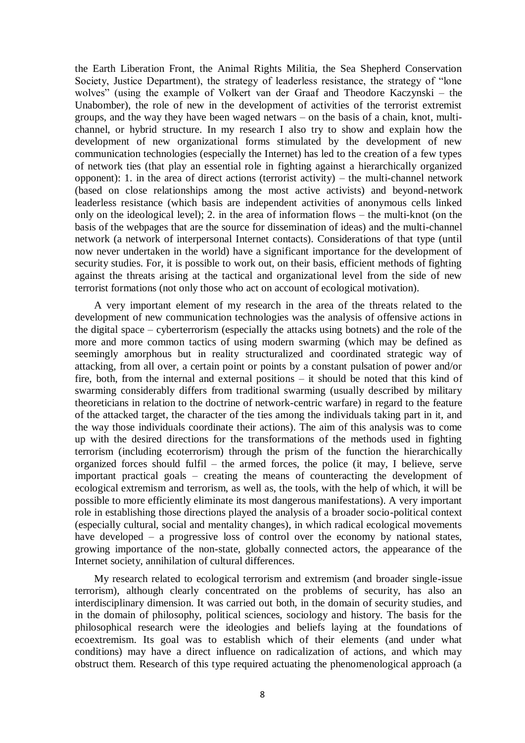the Earth Liberation Front, the Animal Rights Militia, the Sea Shepherd Conservation Society, Justice Department), the strategy of leaderless resistance, the strategy of "lone wolves" (using the example of Volkert van der Graaf and Theodore Kaczynski – the Unabomber), the role of new in the development of activities of the terrorist extremist groups, and the way they have been waged netwars – on the basis of a chain, knot, multichannel, or hybrid structure. In my research I also try to show and explain how the development of new organizational forms stimulated by the development of new communication technologies (especially the Internet) has led to the creation of a few types of network ties (that play an essential role in fighting against a hierarchically organized opponent): 1. in the area of direct actions (terrorist activity) – the multi-channel network (based on close relationships among the most active activists) and beyond-network leaderless resistance (which basis are independent activities of anonymous cells linked only on the ideological level); 2. in the area of information flows – the multi-knot (on the basis of the webpages that are the source for dissemination of ideas) and the multi-channel network (a network of interpersonal Internet contacts). Considerations of that type (until now never undertaken in the world) have a significant importance for the development of security studies. For, it is possible to work out, on their basis, efficient methods of fighting against the threats arising at the tactical and organizational level from the side of new terrorist formations (not only those who act on account of ecological motivation).

A very important element of my research in the area of the threats related to the development of new communication technologies was the analysis of offensive actions in the digital space – cyberterrorism (especially the attacks using botnets) and the role of the more and more common tactics of using modern swarming (which may be defined as seemingly amorphous but in reality structuralized and coordinated strategic way of attacking, from all over, a certain point or points by a constant pulsation of power and/or fire, both, from the internal and external positions – it should be noted that this kind of swarming considerably differs from traditional swarming (usually described by military theoreticians in relation to the doctrine of network-centric warfare) in regard to the feature of the attacked target, the character of the ties among the individuals taking part in it, and the way those individuals coordinate their actions). The aim of this analysis was to come up with the desired directions for the transformations of the methods used in fighting terrorism (including ecoterrorism) through the prism of the function the hierarchically organized forces should fulfil – the armed forces, the police (it may, I believe, serve important practical goals – creating the means of counteracting the development of ecological extremism and terrorism, as well as, the tools, with the help of which, it will be possible to more efficiently eliminate its most dangerous manifestations). A very important role in establishing those directions played the analysis of a broader socio-political context (especially cultural, social and mentality changes), in which radical ecological movements have developed – a progressive loss of control over the economy by national states, growing importance of the non-state, globally connected actors, the appearance of the Internet society, annihilation of cultural differences.

My research related to ecological terrorism and extremism (and broader single-issue terrorism), although clearly concentrated on the problems of security, has also an interdisciplinary dimension. It was carried out both, in the domain of security studies, and in the domain of philosophy, political sciences, sociology and history. The basis for the philosophical research were the ideologies and beliefs laying at the foundations of ecoextremism. Its goal was to establish which of their elements (and under what conditions) may have a direct influence on radicalization of actions, and which may obstruct them. Research of this type required actuating the phenomenological approach (a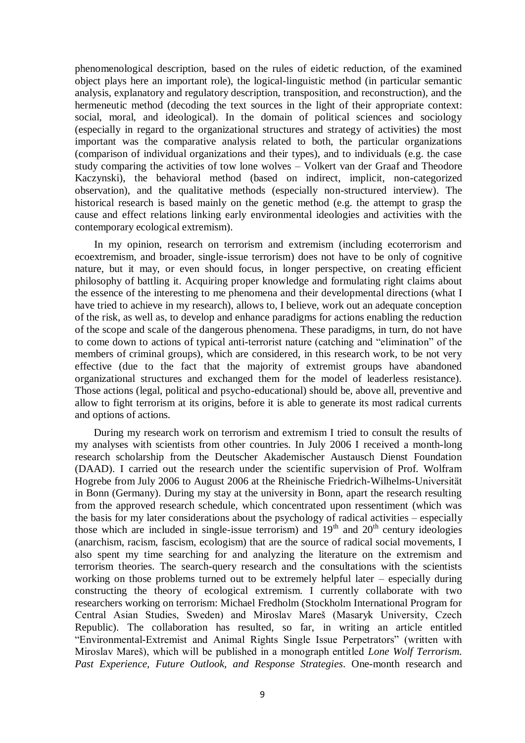phenomenological description, based on the rules of eidetic reduction, of the examined object plays here an important role), the logical-linguistic method (in particular semantic analysis, explanatory and regulatory description, transposition, and reconstruction), and the hermeneutic method (decoding the text sources in the light of their appropriate context: social, moral, and ideological). In the domain of political sciences and sociology (especially in regard to the organizational structures and strategy of activities) the most important was the comparative analysis related to both, the particular organizations (comparison of individual organizations and their types), and to individuals (e.g. the case study comparing the activities of tow lone wolves – Volkert van der Graaf and Theodore Kaczynski), the behavioral method (based on indirect, implicit, non-categorized observation), and the qualitative methods (especially non-structured interview). The historical research is based mainly on the genetic method (e.g. the attempt to grasp the cause and effect relations linking early environmental ideologies and activities with the contemporary ecological extremism).

In my opinion, research on terrorism and extremism (including ecoterrorism and ecoextremism, and broader, single-issue terrorism) does not have to be only of cognitive nature, but it may, or even should focus, in longer perspective, on creating efficient philosophy of battling it. Acquiring proper knowledge and formulating right claims about the essence of the interesting to me phenomena and their developmental directions (what I have tried to achieve in my research), allows to, I believe, work out an adequate conception of the risk, as well as, to develop and enhance paradigms for actions enabling the reduction of the scope and scale of the dangerous phenomena. These paradigms, in turn, do not have to come down to actions of typical anti-terrorist nature (catching and "elimination" of the members of criminal groups), which are considered, in this research work, to be not very effective (due to the fact that the majority of extremist groups have abandoned organizational structures and exchanged them for the model of leaderless resistance). Those actions (legal, political and psycho-educational) should be, above all, preventive and allow to fight terrorism at its origins, before it is able to generate its most radical currents and options of actions.

During my research work on terrorism and extremism I tried to consult the results of my analyses with scientists from other countries. In July 2006 I received a month-long research scholarship from the Deutscher Akademischer Austausch Dienst Foundation (DAAD). I carried out the research under the scientific supervision of Prof. Wolfram Hogrebe from July 2006 to August 2006 at the Rheinische Friedrich-Wilhelms-Universität in Bonn (Germany). During my stay at the university in Bonn, apart the research resulting from the approved research schedule, which concentrated upon ressentiment (which was the basis for my later considerations about the psychology of radical activities – especially those which are included in single-issue terrorism) and  $19<sup>th</sup>$  and  $20<sup>th</sup>$  century ideologies (anarchism, racism, fascism, ecologism) that are the source of radical social movements, I also spent my time searching for and analyzing the literature on the extremism and terrorism theories. The search-query research and the consultations with the scientists working on those problems turned out to be extremely helpful later – especially during constructing the theory of ecological extremism. I currently collaborate with two researchers working on terrorism: Michael Fredholm (Stockholm International Program for Central Asian Studies, Sweden) and Miroslav Mareš (Masaryk University, Czech Republic). The collaboration has resulted, so far, in writing an article entitled "Environmental-Extremist and Animal Rights Single Issue Perpetrators" (written with Miroslav Mareš), which will be published in a monograph entitled *Lone Wolf Terrorism. Past Experience, Future Outlook, and Response Strategies*. One-month research and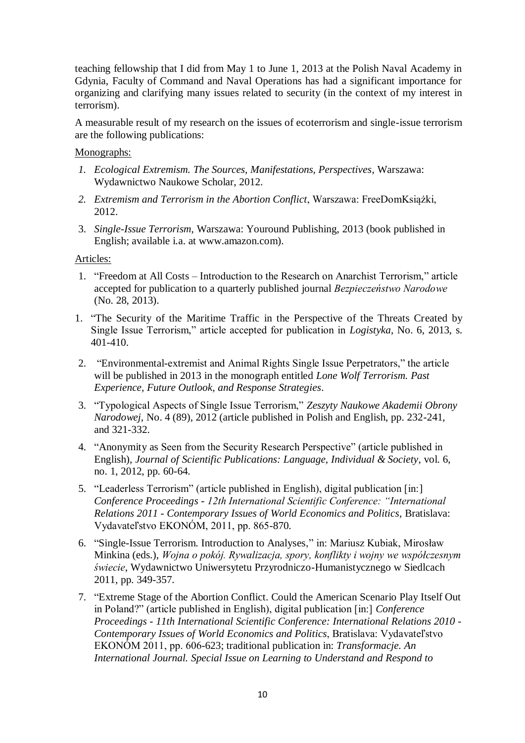teaching fellowship that I did from May 1 to June 1, 2013 at the Polish Naval Academy in Gdynia, Faculty of Command and Naval Operations has had a significant importance for organizing and clarifying many issues related to security (in the context of my interest in terrorism).

A measurable result of my research on the issues of ecoterrorism and single-issue terrorism are the following publications:

# Monographs:

- *1. Ecological Extremism. The Sources, Manifestations, Perspectives*, Warszawa: Wydawnictwo Naukowe Scholar, 2012.
- *2. Extremism and Terrorism in the Abortion Conflict*, Warszawa: FreeDomKsiążki, 2012.
- 3. *Single-Issue Terrorism*, Warszawa: Youround Publishing, 2013 (book published in English; available i.a. at www.amazon.com).

Articles:

- 1. "Freedom at All Costs Introduction to the Research on Anarchist Terrorism," article accepted for publication to a quarterly published journal *Bezpieczeństwo Narodowe*  (No. 28, 2013).
- 1. "The Security of the Maritime Traffic in the Perspective of the Threats Created by Single Issue Terrorism," article accepted for publication in *Logistyka*, No. 6, 2013, s. 401-410.
- 2. "Environmental-extremist and Animal Rights Single Issue Perpetrators," the article will be published in 2013 in the monograph entitled *Lone Wolf Terrorism. Past Experience, Future Outlook, and Response Strategies*.
- 3. "Typological Aspects of Single Issue Terrorism," *Zeszyty Naukowe Akademii Obrony Narodowej,* No. 4 (89), 2012 (article published in Polish and English, pp. 232-241, and 321-332.
- 4. "Anonymity as Seen from the Security Research Perspective" (article published in English), *Journal of Scientific Publications: Language, Individual & Society*, vol. 6, no. 1, 2012, pp. 60-64.
- 5. "Leaderless Terrorism" (article published in English), digital publication [in:] *Conference Proceedings - 12th International Scientific Conference: "International Relations 2011 - Contemporary Issues of World Economics and Politics*, Bratislava: Vydavateľstvo EKONÓM, 2011, pp. 865-870.
- 6. "Single-Issue Terrorism. Introduction to Analyses," in: Mariusz Kubiak, Mirosław Minkina (eds.), *Wojna o pokój. Rywalizacja, spory, konflikty i wojny we współczesnym świecie*, Wydawnictwo Uniwersytetu Przyrodniczo-Humanistycznego w Siedlcach 2011, pp. 349-357.
- 7. "Extreme Stage of the Abortion Conflict. Could the American Scenario Play Itself Out in Poland?" (article published in English), digital publication [in:] *Conference Proceedings - 11th International Scientific Conference: International Relations 2010 - Contemporary Issues of World Economics and Politics*, Bratislava: Vydavateľstvo EKONÓM 2011, pp. 606-623; traditional publication in: *Transformacje. An International Journal. Special Issue on Learning to Understand and Respond to*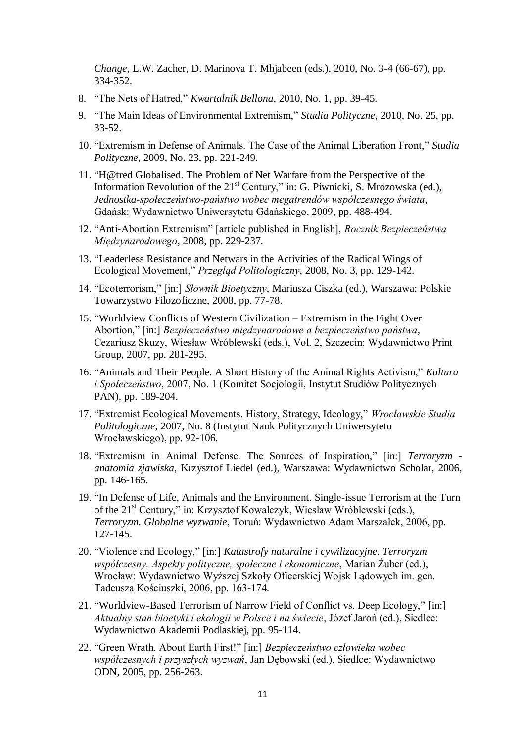*Change*, L.W. Zacher, D. Marinova T. Mhjabeen (eds.), 2010, No. 3-4 (66-67), pp. 334-352.

- 8. "The Nets of Hatred," *Kwartalnik Bellona*, 2010, No. 1, pp. 39-45.
- 9. "The Main Ideas of Environmental Extremism," *Studia Polityczne*, 2010, No. 25, pp. 33-52.
- 10. "Extremism in Defense of Animals. The Case of the Animal Liberation Front," *Studia Polityczne*, 2009, No. 23, pp. 221-249.
- 11. "H@tred Globalised. The Problem of Net Warfare from the Perspective of the Information Revolution of the  $21<sup>st</sup>$  Century," in: G. Piwnicki, S. Mrozowska (ed.), *Jednostka-społeczeństwo-państwo wobec megatrendów współczesnego świata*, Gdańsk: Wydawnictwo Uniwersytetu Gdańskiego, 2009, pp. 488-494.
- 12. "Anti-Abortion Extremism" [article published in English], *Rocznik Bezpieczeństwa Międzynarodowego*, 2008, pp. 229-237.
- 13. "Leaderless Resistance and Netwars in the Activities of the Radical Wings of Ecological Movement," *Przegląd Politologiczny*, 2008, No. 3, pp. 129-142.
- 14. "Ecoterrorism," [in:] *Słownik Bioetyczny*, Mariusza Ciszka (ed.), Warszawa: Polskie Towarzystwo Filozoficzne, 2008, pp. 77-78.
- 15. "Worldview Conflicts of Western Civilization Extremism in the Fight Over Abortion," [in:] *Bezpieczeństwo międzynarodowe a bezpieczeństwo państwa*, Cezariusz Skuzy, Wiesław Wróblewski (eds.), Vol. 2, Szczecin: Wydawnictwo Print Group, 2007, pp. 281-295.
- 16. "Animals and Their People. A Short History of the Animal Rights Activism," *Kultura i Społeczeństwo*, 2007, No. 1 (Komitet Socjologii, Instytut Studiów Politycznych PAN), pp. 189-204.
- 17. "Extremist Ecological Movements. History, Strategy, Ideology," *Wrocławskie Studia Politologiczne*, 2007, No. 8 (Instytut Nauk Politycznych Uniwersytetu Wrocławskiego), pp. 92-106.
- 18. "Extremism in Animal Defense. The Sources of Inspiration," [in:] *Terroryzm anatomia zjawiska*, Krzysztof Liedel (ed.), Warszawa: Wydawnictwo Scholar, 2006, pp. 146-165.
- 19. "In Defense of Life, Animals and the Environment. Single-issue Terrorism at the Turn of the 21<sup>st</sup> Century," in: Krzysztof Kowalczyk, Wiesław Wróblewski (eds.), *Terroryzm. Globalne wyzwanie*, Toruń: Wydawnictwo Adam Marszałek, 2006, pp. 127-145.
- 20. "Violence and Ecology," [in:] *Katastrofy naturalne i cywilizacyjne. Terroryzm współczesny. Aspekty polityczne, społeczne i ekonomiczne*, Marian Żuber (ed.), Wrocław: Wydawnictwo Wyższej Szkoły Oficerskiej Wojsk Lądowych im. gen. Tadeusza Kościuszki, 2006, pp. 163-174.
- 21. "Worldview-Based Terrorism of Narrow Field of Conflict vs. Deep Ecology," [in:] *Aktualny stan bioetyki i ekologii w Polsce i na świecie*, Józef Jaroń (ed.), Siedlce: Wydawnictwo Akademii Podlaskiej, pp. 95-114.
- 22. "Green Wrath. About Earth First!" [in:] *Bezpieczeństwo człowieka wobec współczesnych i przyszłych wyzwań*, Jan Dębowski (ed.), Siedlce: Wydawnictwo ODN, 2005, pp. 256-263.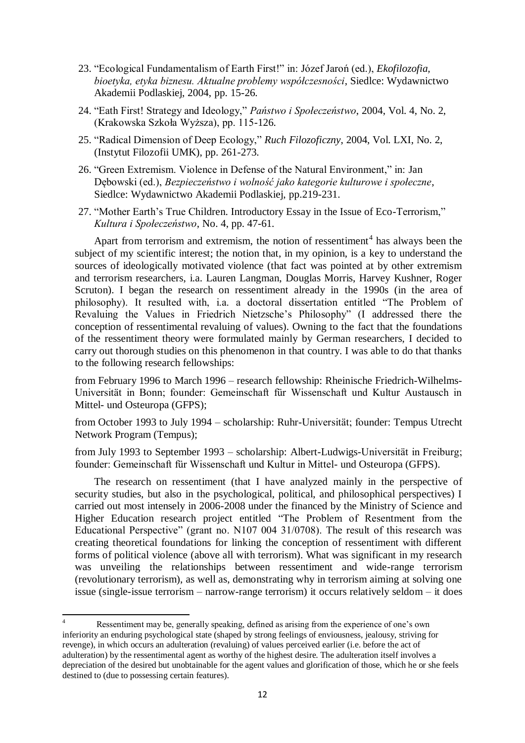- 23. "Ecological Fundamentalism of Earth First!" in: Józef Jaroń (ed.), *Ekofilozofia, bioetyka, etyka biznesu. Aktualne problemy współczesności*, Siedlce: Wydawnictwo Akademii Podlaskiej, 2004, pp. 15-26.
- 24. "Eath First! Strategy and Ideology," *Państwo i Społeczeństwo*, 2004, Vol. 4, No. 2, (Krakowska Szkoła Wyższa), pp. 115-126.
- 25. "Radical Dimension of Deep Ecology," *Ruch Filozoficzny*, 2004, Vol. LXI, No. 2, (Instytut Filozofii UMK), pp. 261-273.
- 26. "Green Extremism. Violence in Defense of the Natural Environment," in: Jan Dębowski (ed.), *Bezpieczeństwo i wolność jako kategorie kulturowe i społeczne*, Siedlce: Wydawnictwo Akademii Podlaskiej, pp.219-231.
- 27. "Mother Earth's True Children. Introductory Essay in the Issue of Eco-Terrorism," *Kultura i Społeczeństwo*, No. 4, pp. 47-61.

Apart from terrorism and extremism, the notion of ressentiment<sup>4</sup> has always been the subject of my scientific interest; the notion that, in my opinion, is a key to understand the sources of ideologically motivated violence (that fact was pointed at by other extremism and terrorism researchers, i.a. Lauren Langman, Douglas Morris, Harvey Kushner, Roger Scruton). I began the research on ressentiment already in the 1990s (in the area of philosophy). It resulted with, i.a. a doctoral dissertation entitled "The Problem of Revaluing the Values in Friedrich Nietzsche's Philosophy" (I addressed there the conception of ressentimental revaluing of values). Owning to the fact that the foundations of the ressentiment theory were formulated mainly by German researchers, I decided to carry out thorough studies on this phenomenon in that country. I was able to do that thanks to the following research fellowships:

from February 1996 to March 1996 – research fellowship: Rheinische Friedrich-Wilhelms-Universität in Bonn; founder: Gemeinschaft für Wissenschaft und Kultur Austausch in Mittel- und Osteuropa (GFPS);

from October 1993 to July 1994 – scholarship: Ruhr-Universität; founder: Tempus Utrecht Network Program (Tempus);

from July 1993 to September 1993 – scholarship: Albert-Ludwigs-Universität in Freiburg; founder: Gemeinschaft für Wissenschaft und Kultur in Mittel- und Osteuropa (GFPS).

The research on ressentiment (that I have analyzed mainly in the perspective of security studies, but also in the psychological, political, and philosophical perspectives) I carried out most intensely in 2006-2008 under the financed by the Ministry of Science and Higher Education research project entitled "The Problem of Resentment from the Educational Perspective" (grant no. N107 004 31/0708). The result of this research was creating theoretical foundations for linking the conception of ressentiment with different forms of political violence (above all with terrorism). What was significant in my research was unveiling the relationships between ressentiment and wide-range terrorism (revolutionary terrorism), as well as, demonstrating why in terrorism aiming at solving one issue (single-issue terrorism – narrow-range terrorism) it occurs relatively seldom – it does

 $\overline{A}$ Ressentiment may be, generally speaking, defined as arising from the experience of one's own inferiority an enduring psychological state (shaped by strong feelings of enviousness, jealousy, striving for revenge), in which occurs an adulteration (revaluing) of values perceived earlier (i.e. before the act of adulteration) by the ressentimental agent as worthy of the highest desire. The adulteration itself involves a depreciation of the desired but unobtainable for the agent values and glorification of those, which he or she feels destined to (due to possessing certain features).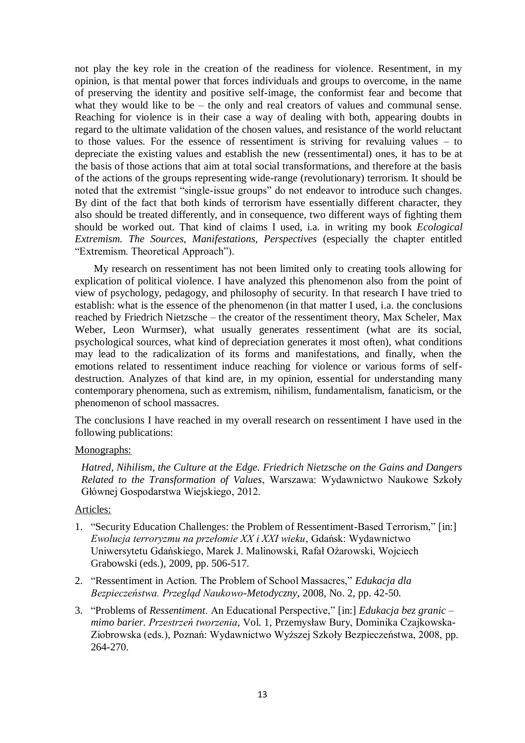not play the key role in the creation of the readiness for violence. Resentment, in my opinion, is that mental power that forces individuals and groups to overcome, in the name of preserving the identity and positive self-image, the conformist fear and become that what they would like to be – the only and real creators of values and communal sense. Reaching for violence is in their case a way of dealing with both, appearing doubts in regard to the ultimate validation of the chosen values, and resistance of the world reluctant to those values. For the essence of ressentiment is striving for revaluing values – to depreciate the existing values and establish the new (ressentimental) ones, it has to be at the basis of those actions that aim at total social transformations, and therefore at the basis of the actions of the groups representing wide-range (revolutionary) terrorism. It should be noted that the extremist "single-issue groups" do not endeavor to introduce such changes. By dint of the fact that both kinds of terrorism have essentially different character, they also should be treated differently, and in consequence, two different ways of fighting them should be worked out. That kind of claims I used, i.a. in writing my book *Ecological Extremism. The Sources, Manifestations, Perspectives* (especially the chapter entitled "Extremism. Theoretical Approach").

My research on ressentiment has not been limited only to creating tools allowing for explication of political violence. I have analyzed this phenomenon also from the point of view of psychology, pedagogy, and philosophy of security. In that research I have tried to establish: what is the essence of the phenomenon (in that matter I used, i.a. the conclusions reached by Friedrich Nietzsche – the creator of the ressentiment theory, Max Scheler, Max Weber, Leon Wurmser), what usually generates ressentiment (what are its social, psychological sources, what kind of depreciation generates it most often), what conditions may lead to the radicalization of its forms and manifestations, and finally, when the emotions related to ressentiment induce reaching for violence or various forms of selfdestruction. Analyzes of that kind are, in my opinion, essential for understanding many contemporary phenomena, such as extremism, nihilism, fundamentalism, fanaticism, or the phenomenon of school massacres.

The conclusions I have reached in my overall research on ressentiment I have used in the following publications:

#### Monographs:

*Hatred, Nihilism, the Culture at the Edge. Friedrich Nietzsche on the Gains and Dangers Related to the Transformation of Values*, Warszawa: Wydawnictwo Naukowe Szkoły Głównej Gospodarstwa Wiejskiego, 2012.

# Articles:

- 1. "Security Education Challenges: the Problem of Ressentiment-Based Terrorism," [in:] *Ewolucja terroryzmu na przełomie XX i XXI wieku*, Gdańsk: Wydawnictwo Uniwersytetu Gdańskiego, Marek J. Malinowski, Rafał Ożarowski, Wojciech Grabowski (eds.), 2009, pp. 506-517.
- 2. "Ressentiment in Action. The Problem of School Massacres," *Edukacja dla Bezpieczeństwa. Przegląd Naukowo-Metodyczny*, 2008, No. 2, pp. 42-50.
- 3. "Problems of *Ressentiment*. An Educational Perspective," [in:] *Edukacja bez granic – mimo barier. Przestrzeń tworzenia*, Vol. 1, Przemysław Bury, Dominika Czajkowska-Ziobrowska (eds.), Poznań: Wydawnictwo Wyższej Szkoły Bezpieczeństwa, 2008, pp. 264-270.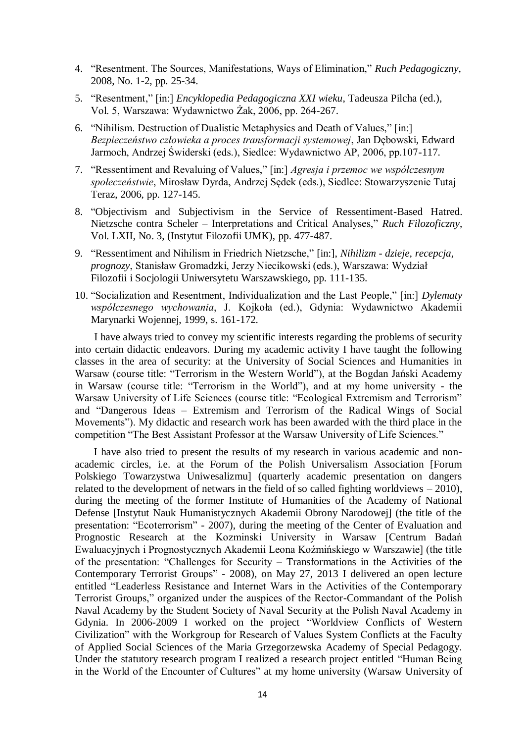- 4. "Resentment. The Sources, Manifestations, Ways of Elimination," *Ruch Pedagogiczny*, 2008, No. 1-2, pp. 25-34.
- 5. "Resentment," [in:] *Encyklopedia Pedagogiczna XXI wieku*, Tadeusza Pilcha (ed.), Vol. 5, Warszawa: Wydawnictwo Żak, 2006, pp. 264-267.
- 6. "Nihilism. Destruction of Dualistic Metaphysics and Death of Values," [in:] *Bezpieczeństwo człowieka a proces transformacji systemowej*, Jan Dębowski, Edward Jarmoch, Andrzej Świderski (eds.), Siedlce: Wydawnictwo AP, 2006, pp.107-117.
- 7. "Ressentiment and Revaluing of Values," [in:] *Agresja i przemoc we współczesnym społeczeństwie*, Mirosław Dyrda, Andrzej Sędek (eds.), Siedlce: Stowarzyszenie Tutaj Teraz, 2006, pp. 127-145.
- 8. "Objectivism and Subjectivism in the Service of Ressentiment-Based Hatred. Nietzsche contra Scheler – Interpretations and Critical Analyses," *Ruch Filozoficzny*, Vol. LXII, No. 3, (Instytut Filozofii UMK), pp. 477-487.
- 9. "Ressentiment and Nihilism in Friedrich Nietzsche," [in:], *Nihilizm - dzieje, recepcja, prognozy*, Stanisław Gromadzki, Jerzy Niecikowski (eds.), Warszawa: Wydział Filozofii i Socjologii Uniwersytetu Warszawskiego, pp. 111-135.
- 10. "Socialization and Resentment, Individualization and the Last People," [in:] *Dylematy współczesnego wychowania*, J. Kojkoła (ed.), Gdynia: Wydawnictwo Akademii Marynarki Wojennej, 1999, s. 161-172.

I have always tried to convey my scientific interests regarding the problems of security into certain didactic endeavors. During my academic activity I have taught the following classes in the area of security: at the University of Social Sciences and Humanities in Warsaw (course title: "Terrorism in the Western World"), at the Bogdan Jański Academy in Warsaw (course title: "Terrorism in the World"), and at my home university - the Warsaw University of Life Sciences (course title: "Ecological Extremism and Terrorism" and "Dangerous Ideas – Extremism and Terrorism of the Radical Wings of Social Movements"). My didactic and research work has been awarded with the third place in the competition "The Best Assistant Professor at the Warsaw University of Life Sciences."

I have also tried to present the results of my research in various academic and nonacademic circles, i.e. at the Forum of the Polish Universalism Association [Forum Polskiego Towarzystwa Uniwesalizmu] (quarterly academic presentation on dangers related to the development of netwars in the field of so called fighting worldviews  $-2010$ ), during the meeting of the former Institute of Humanities of the Academy of National Defense [Instytut Nauk Humanistycznych Akademii Obrony Narodowej] (the title of the presentation: "Ecoterrorism" - 2007), during the meeting of the Center of Evaluation and Prognostic Research at the Kozminski University in Warsaw [Centrum Badań Ewaluacyjnych i Prognostycznych Akademii Leona Koźmińskiego w Warszawie] (the title of the presentation: "Challenges for Security – Transformations in the Activities of the Contemporary Terrorist Groups" - 2008), on May 27, 2013 I delivered an open lecture entitled "Leaderless Resistance and Internet Wars in the Activities of the Contemporary Terrorist Groups," organized under the auspices of the Rector-Commandant of the Polish Naval Academy by the Student Society of Naval Security at the Polish Naval Academy in Gdynia. In 2006-2009 I worked on the project "Worldview Conflicts of Western Civilization" with the Workgroup for Research of Values System Conflicts at the Faculty of Applied Social Sciences of the Maria Grzegorzewska Academy of Special Pedagogy. Under the statutory research program I realized a research project entitled "Human Being in the World of the Encounter of Cultures" at my home university (Warsaw University of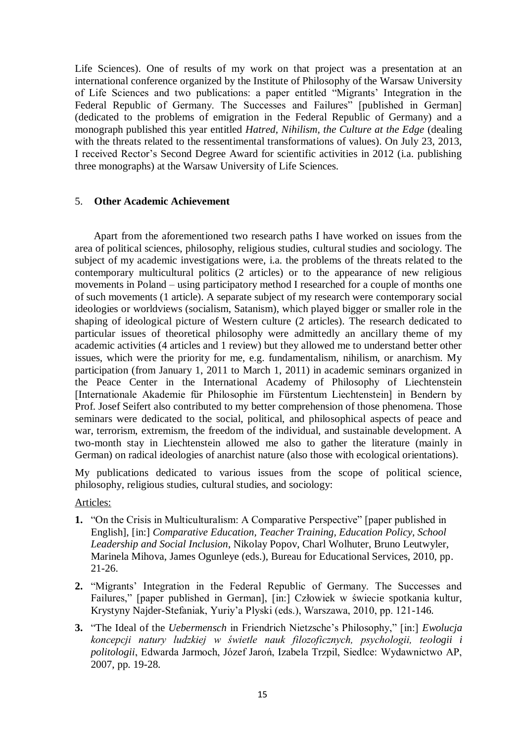Life Sciences). One of results of my work on that project was a presentation at an international conference organized by the Institute of Philosophy of the Warsaw University of Life Sciences and two publications: a paper entitled "Migrants' Integration in the Federal Republic of Germany. The Successes and Failures" [published in German] (dedicated to the problems of emigration in the Federal Republic of Germany) and a monograph published this year entitled *Hatred, Nihilism, the Culture at the Edge* (dealing with the threats related to the ressentimental transformations of values). On July 23, 2013, I received Rector's Second Degree Award for scientific activities in 2012 (i.a. publishing three monographs) at the Warsaw University of Life Sciences.

### 5. **Other Academic Achievement**

Apart from the aforementioned two research paths I have worked on issues from the area of political sciences, philosophy, religious studies, cultural studies and sociology. The subject of my academic investigations were, i.a. the problems of the threats related to the contemporary multicultural politics (2 articles) or to the appearance of new religious movements in Poland – using participatory method I researched for a couple of months one of such movements (1 article). A separate subject of my research were contemporary social ideologies or worldviews (socialism, Satanism), which played bigger or smaller role in the shaping of ideological picture of Western culture (2 articles). The research dedicated to particular issues of theoretical philosophy were admittedly an ancillary theme of my academic activities (4 articles and 1 review) but they allowed me to understand better other issues, which were the priority for me, e.g. fundamentalism, nihilism, or anarchism. My participation (from January 1, 2011 to March 1, 2011) in academic seminars organized in the Peace Center in the International Academy of Philosophy of Liechtenstein [Internationale Akademie für Philosophie im Fürstentum Liechtenstein] in Bendern by Prof. Josef Seifert also contributed to my better comprehension of those phenomena. Those seminars were dedicated to the social, political, and philosophical aspects of peace and war, terrorism, extremism, the freedom of the individual, and sustainable development. A two-month stay in Liechtenstein allowed me also to gather the literature (mainly in German) on radical ideologies of anarchist nature (also those with ecological orientations).

My publications dedicated to various issues from the scope of political science, philosophy, religious studies, cultural studies, and sociology:

Articles:

- **1.** "On the Crisis in Multiculturalism: A Comparative Perspective" [paper published in English], [in:] *Comparative Education, Teacher Training, Education Policy, School Leadership and Social Inclusion*, Nikolay Popov, Charl Wolhuter, Bruno Leutwyler, Marinela Mihova, James Ogunleye (eds.), Bureau for Educational Services, 2010, pp. 21-26.
- **2.** "Migrants' Integration in the Federal Republic of Germany. The Successes and Failures," [paper published in German], [in:] Człowiek w świecie spotkania kultur, Krystyny Najder-Stefaniak, Yuriy'a Plyski (eds.), Warszawa, 2010, pp. 121-146.
- **3.** "The Ideal of the *Uebermensch* in Friendrich Nietzsche's Philosophy," [in:] *Ewolucja koncepcji natury ludzkiej w świetle nauk filozoficznych, psychologii, teologii i politologii*, Edwarda Jarmoch, Józef Jaroń, Izabela Trzpil, Siedlce: Wydawnictwo AP, 2007, pp. 19-28.